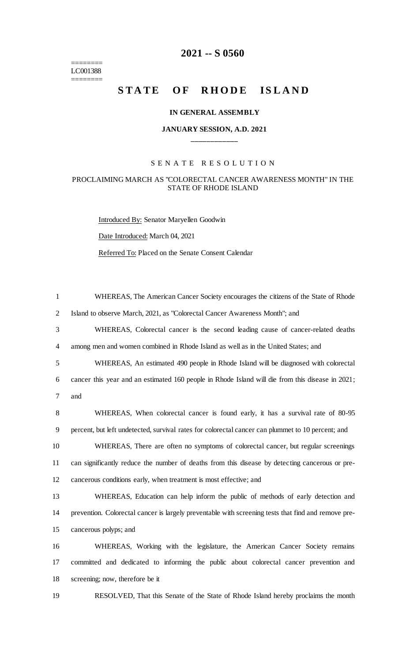======== LC001388  $=$ 

# **-- S 0560**

# STATE OF RHODE ISLAND

#### **IN GENERAL ASSEMBLY**

### **JANUARY SESSION, A.D. 2021 \_\_\_\_\_\_\_\_\_\_\_\_**

## S E N A T E R E S O L U T I O N

#### PROCLAIMING MARCH AS "COLORECTAL CANCER AWARENESS MONTH" IN THE STATE OF RHODE ISLAND

Introduced By: Senator Maryellen Goodwin Date Introduced: March 04, 2021 Referred To: Placed on the Senate Consent Calendar

| $\mathbf{1}$   | WHEREAS, The American Cancer Society encourages the citizens of the State of Rhode                  |
|----------------|-----------------------------------------------------------------------------------------------------|
| 2              | Island to observe March, 2021, as "Colorectal Cancer Awareness Month"; and                          |
| 3              | WHEREAS, Colorectal cancer is the second leading cause of cancer-related deaths                     |
| $\overline{4}$ | among men and women combined in Rhode Island as well as in the United States; and                   |
| 5              | WHEREAS, An estimated 490 people in Rhode Island will be diagnosed with colorectal                  |
| 6              | cancer this year and an estimated 160 people in Rhode Island will die from this disease in 2021;    |
| 7              | and                                                                                                 |
| 8              | WHEREAS, When colorectal cancer is found early, it has a survival rate of 80-95                     |
| 9              | percent, but left undetected, survival rates for colorectal cancer can plummet to 10 percent; and   |
| 10             | WHEREAS, There are often no symptoms of colorectal cancer, but regular screenings                   |
| 11             | can significantly reduce the number of deaths from this disease by detecting cancerous or pre-      |
| 12             | cancerous conditions early, when treatment is most effective; and                                   |
| 13             | WHEREAS, Education can help inform the public of methods of early detection and                     |
| 14             | prevention. Colorectal cancer is largely preventable with screening tests that find and remove pre- |
| 15             | cancerous polyps; and                                                                               |
| 16             | WHEREAS, Working with the legislature, the American Cancer Society remains                          |
| 17             | committed and dedicated to informing the public about colorectal cancer prevention and              |
| 18             | screening; now, therefore be it                                                                     |
| 19             | RESOLVED, That this Senate of the State of Rhode Island hereby proclaims the month                  |